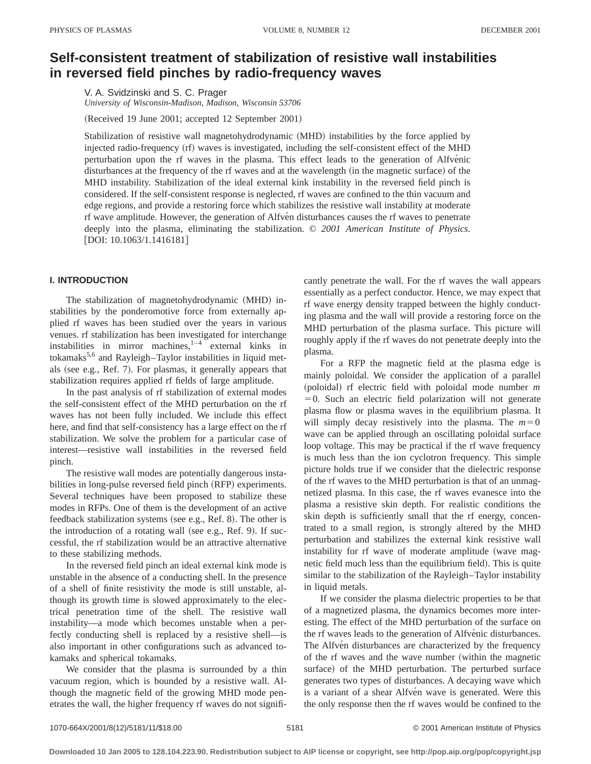# **Self-consistent treatment of stabilization of resistive wall instabilities in reversed field pinches by radio-frequency waves**

V. A. Svidzinski and S. C. Prager *University of Wisconsin-Madison, Madison, Wisconsin 53706*

 $(Received 19 June 2001; accepted 12 September 2001)$ 

Stabilization of resistive wall magnetohydrodynamic (MHD) instabilities by the force applied by injected radio-frequency (rf) waves is investigated, including the self-consistent effect of the MHD perturbation upon the rf waves in the plasma. This effect leads to the generation of Alfvenic disturbances at the frequency of the rf waves and at the wavelength (in the magnetic surface) of the MHD instability. Stabilization of the ideal external kink instability in the reversed field pinch is considered. If the self-consistent response is neglected, rf waves are confined to the thin vacuum and edge regions, and provide a restoring force which stabilizes the resistive wall instability at moderate rf wave amplitude. However, the generation of Alfvén disturbances causes the rf waves to penetrate deeply into the plasma, eliminating the stabilization. © *2001 American Institute of Physics.*  $[DOI: 10.1063/1.1416181]$ 

# **I. INTRODUCTION**

The stabilization of magnetohydrodynamic (MHD) instabilities by the ponderomotive force from externally applied rf waves has been studied over the years in various venues. rf stabilization has been investigated for interchange instabilities in mirror machines, $1-4$  external kinks in tokamaks<sup>5,6</sup> and Rayleigh–Taylor instabilities in liquid metals (see e.g., Ref. 7). For plasmas, it generally appears that stabilization requires applied rf fields of large amplitude.

In the past analysis of rf stabilization of external modes the self-consistent effect of the MHD perturbation on the rf waves has not been fully included. We include this effect here, and find that self-consistency has a large effect on the rf stabilization. We solve the problem for a particular case of interest—resistive wall instabilities in the reversed field pinch.

The resistive wall modes are potentially dangerous instabilities in long-pulse reversed field pinch (RFP) experiments. Several techniques have been proposed to stabilize these modes in RFPs. One of them is the development of an active feedback stabilization systems (see e.g., Ref. 8). The other is the introduction of a rotating wall (see e.g., Ref. 9). If successful, the rf stabilization would be an attractive alternative to these stabilizing methods.

In the reversed field pinch an ideal external kink mode is unstable in the absence of a conducting shell. In the presence of a shell of finite resistivity the mode is still unstable, although its growth time is slowed approximately to the electrical penetration time of the shell. The resistive wall instability—a mode which becomes unstable when a perfectly conducting shell is replaced by a resistive shell—is also important in other configurations such as advanced tokamaks and spherical tokamaks.

We consider that the plasma is surrounded by a thin vacuum region, which is bounded by a resistive wall. Although the magnetic field of the growing MHD mode penetrates the wall, the higher frequency rf waves do not significantly penetrate the wall. For the rf waves the wall appears essentially as a perfect conductor. Hence, we may expect that rf wave energy density trapped between the highly conducting plasma and the wall will provide a restoring force on the MHD perturbation of the plasma surface. This picture will roughly apply if the rf waves do not penetrate deeply into the plasma.

For a RFP the magnetic field at the plasma edge is mainly poloidal. We consider the application of a parallel (poloidal) rf electric field with poloidal mode number *m*  $=0$ . Such an electric field polarization will not generate plasma flow or plasma waves in the equilibrium plasma. It will simply decay resistively into the plasma. The  $m=0$ wave can be applied through an oscillating poloidal surface loop voltage. This may be practical if the rf wave frequency is much less than the ion cyclotron frequency. This simple picture holds true if we consider that the dielectric response of the rf waves to the MHD perturbation is that of an unmagnetized plasma. In this case, the rf waves evanesce into the plasma a resistive skin depth. For realistic conditions the skin depth is sufficiently small that the rf energy, concentrated to a small region, is strongly altered by the MHD perturbation and stabilizes the external kink resistive wall instability for rf wave of moderate amplitude (wave magnetic field much less than the equilibrium field). This is quite similar to the stabilization of the Rayleigh–Taylor instability in liquid metals.

If we consider the plasma dielectric properties to be that of a magnetized plasma, the dynamics becomes more interesting. The effect of the MHD perturbation of the surface on the rf waves leads to the generation of Alfvénic disturbances. The Alfvén disturbances are characterized by the frequency of the rf waves and the wave number (within the magnetic surface) of the MHD perturbation. The perturbed surface generates two types of disturbances. A decaying wave which is a variant of a shear Alfven wave is generated. Were this the only response then the rf waves would be confined to the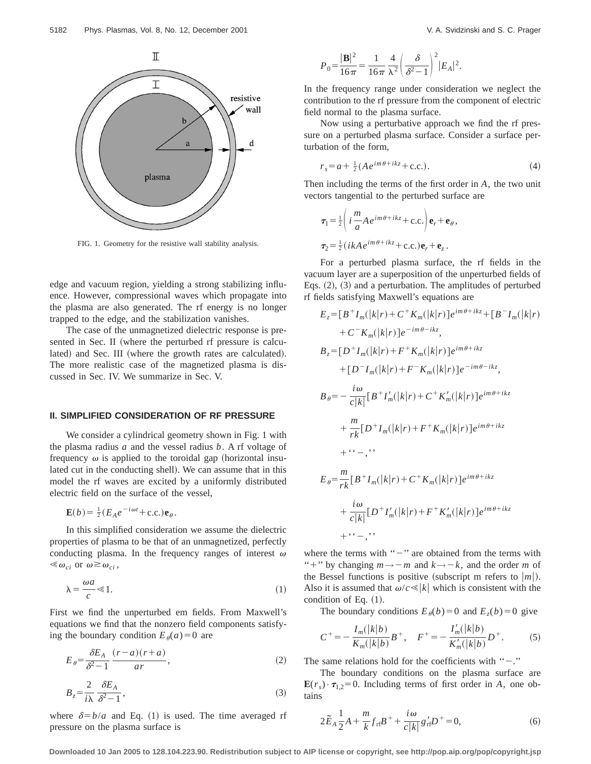

FIG. 1. Geometry for the resistive wall stability analysis.

edge and vacuum region, yielding a strong stabilizing influence. However, compressional waves which propagate into the plasma are also generated. The rf energy is no longer trapped to the edge, and the stabilization vanishes.

The case of the unmagnetized dielectric response is presented in Sec. II (where the perturbed rf pressure is calculated) and Sec. III (where the growth rates are calculated). The more realistic case of the magnetized plasma is discussed in Sec. IV. We summarize in Sec. V.

#### **II. SIMPLIFIED CONSIDERATION OF RF PRESSURE**

We consider a cylindrical geometry shown in Fig. 1 with the plasma radius *a* and the vessel radius *b*. A rf voltage of frequency  $\omega$  is applied to the toroidal gap (horizontal insulated cut in the conducting shell). We can assume that in this model the rf waves are excited by a uniformly distributed electric field on the surface of the vessel,

$$
\mathbf{E}(b) = \frac{1}{2} (E_A e^{-i\omega t} + \text{c.c.}) \mathbf{e}_{\theta}.
$$

In this simplified consideration we assume the dielectric properties of plasma to be that of an unmagnetized, perfectly conducting plasma. In the frequency ranges of interest  $\omega$  $\ll \omega_{ci}$  or  $\omega \gtrsim \omega_{ci}$ ,

$$
\lambda = \frac{\omega a}{c} \ll 1. \tag{1}
$$

First we find the unperturbed em fields. From Maxwell's equations we find that the nonzero field components satisfying the boundary condition  $E_{\theta}(a)=0$  are

$$
E_{\theta} = \frac{\delta E_A}{\delta^2 - 1} \frac{(r - a)(r + a)}{ar},\tag{2}
$$

$$
B_z = \frac{2}{i\lambda} \frac{\delta E_A}{\delta^2 - 1},\tag{3}
$$

where  $\delta = b/a$  and Eq. (1) is used. The time averaged rf pressure on the plasma surface is

$$
P_0 = \frac{|\mathbf{B}|^2}{16\pi} = \frac{1}{16\pi} \frac{4}{\lambda^2} \left(\frac{\delta}{\delta^2 - 1}\right)^2 |E_A|^2.
$$

In the frequency range under consideration we neglect the contribution to the rf pressure from the component of electric field normal to the plasma surface.

Now using a perturbative approach we find the rf pressure on a perturbed plasma surface. Consider a surface perturbation of the form,

$$
r_s = a + \frac{1}{2}(Ae^{im\theta + ikz} + \text{c.c.}).
$$
 (4)

Then including the terms of the first order in *A*, the two unit vectors tangential to the perturbed surface are

$$
\tau_1 = \frac{1}{2} \left( i \frac{m}{a} A e^{im\theta + ikz} + \text{c.c.} \right) \mathbf{e}_r + \mathbf{e}_\theta,
$$
  

$$
\tau_2 = \frac{1}{2} (ik A e^{im\theta + ikz} + \text{c.c.}) \mathbf{e}_r + \mathbf{e}_z.
$$

For a perturbed plasma surface, the rf fields in the vacuum layer are a superposition of the unperturbed fields of Eqs.  $(2)$ ,  $(3)$  and a perturbation. The amplitudes of perturbed rf fields satisfying Maxwell's equations are

$$
E_z = [B^+I_m(|k|r) + C^+K_m(|k|r)]e^{im\theta + ikz} + [B^-I_m(|k|r)
$$
  
+  $C^-K_m(|k|r)]e^{-im\theta - ikz}$ ,  

$$
B_z = [D^+I_m(|k|r) + F^+K_m(|k|r)]e^{im\theta + ikz}
$$
  
+  $[D^-I_m(|k|r) + F^-K_m(|k|r)]e^{-im\theta - ikz}$ ,  

$$
B_\theta = -\frac{i\omega}{c|k|}[B^+I'_m(|k|r) + C^+K'_m(|k|r)]e^{im\theta + ikz}
$$
  
+  $\frac{m}{rk}[D^+I_m(|k|r) + F^+K_m(|k|r)]e^{im\theta + ikz}$   
+  $\cdots$  - $\cdots$   

$$
E_\theta = \frac{m}{rk}[B^+I_m(|k|r) + C^+K_m(|k|r)]e^{im\theta + ikz}
$$
  
+  $\frac{i\omega}{c|k|}[D^+I'_m(|k|r) + F^+K'_m(|k|r)]e^{im\theta + ikz}$   
+  $\cdots$  - $\cdots$ 

where the terms with  $-$ " are obtained from the terms with "<sup>+</sup>" by changing  $m \rightarrow -m$  and  $k \rightarrow -k$ , and the order *m* of the Bessel functions is positive (subscript m refers to  $|m|$ ). Also it is assumed that  $\omega/c \ll |k|$  which is consistent with the condition of Eq.  $(1)$ .

The boundary conditions  $E_{\theta}(b)=0$  and  $E_{z}(b)=0$  give

$$
C^{+} = -\frac{I_m(|k|b)}{K_m(|k|b)}B^{+}, \quad F^{+} = -\frac{I'_m(|k|b)}{K'_m(|k|b)}D^{+}.
$$
 (5)

The same relations hold for the coefficients with  $-$ ."

The boundary conditions on the plasma surface are  $\mathbf{E}(r_s) \cdot \mathbf{\tau}_{1,2} = 0$ . Including terms of first order in *A*, one obtains

$$
2\tilde{E}_A \frac{1}{2}A + \frac{m}{k} f_{\rm rf} B^+ + \frac{i\omega}{c|k|} g_{\rm rf}^{\ d} D^+ = 0,\tag{6}
$$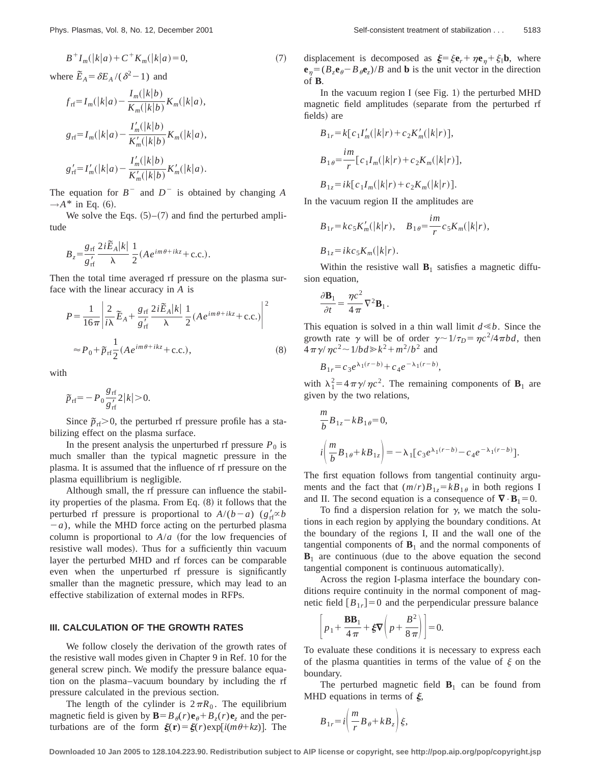where  $\widetilde{E}_A = \delta E_A / (\delta^2 - 1)$  and

$$
f_{\rm rf} = I_m(|k|a) - \frac{I_m(|k|b)}{K_m(|k|b)} K_m(|k|a),
$$
  
\n
$$
g_{\rm rf} = I_m(|k|a) - \frac{I'_m(|k|b)}{K'_m(|k|b)} K_m(|k|a),
$$
  
\n
$$
g'_{\rm rf} = I'_m(|k|a) - \frac{I'_m(|k|b)}{K'_m(|k|b)} K'_m(|k|a).
$$

The equation for  $B^-$  and  $D^-$  is obtained by changing *A*  $\rightarrow$ *A*<sup>\*</sup> in Eq. (6).

We solve the Eqs.  $(5)-(7)$  and find the perturbed amplitude

$$
B_z = \frac{g_{\text{rf}}}{g_{\text{rf}}'} \frac{2i\widetilde{E}_A|k|}{\lambda} \frac{1}{2} (Ae^{im\theta + ikz} + \text{c.c.}).
$$

Then the total time averaged rf pressure on the plasma surface with the linear accuracy in *A* is

$$
P = \frac{1}{16\pi} \left| \frac{2}{i\lambda} \widetilde{E}_A + \frac{g_{\text{rf}}}{g_{\text{rf}}'} \frac{2i\widetilde{E}_A|k|}{\lambda} \frac{1}{2} (A e^{im\theta + ikz} + \text{c.c.}) \right|^2
$$
  

$$
\approx P_0 + \widetilde{p}_{\text{rf}} \frac{1}{2} (A e^{im\theta + ikz} + \text{c.c.}), \tag{8}
$$

with

$$
\tilde{p}_{\rm rf} = -P_0 \frac{g_{\rm rf}}{g_{\rm rf}} 2|k| > 0.
$$

Since  $\tilde{p}_{rf}$  $> 0$ , the perturbed rf pressure profile has a stabilizing effect on the plasma surface.

In the present analysis the unperturbed rf pressure  $P_0$  is much smaller than the typical magnetic pressure in the plasma. It is assumed that the influence of rf pressure on the plasma equillibrium is negligible.

Although small, the rf pressure can influence the stability properties of the plasma. From Eq.  $(8)$  it follows that the perturbed rf pressure is proportional to  $A/(b-a)$  ( $g'_H \propto b$  $(a - a)$ , while the MHD force acting on the perturbed plasma column is proportional to  $A/a$  (for the low frequencies of resistive wall modes). Thus for a sufficiently thin vacuum layer the perturbed MHD and rf forces can be comparable even when the unperturbed rf pressure is significantly smaller than the magnetic pressure, which may lead to an effective stabilization of external modes in RFPs.

# **III. CALCULATION OF THE GROWTH RATES**

We follow closely the derivation of the growth rates of the resistive wall modes given in Chapter 9 in Ref. 10 for the general screw pinch. We modify the pressure balance equation on the plasma–vacuum boundary by including the rf pressure calculated in the previous section.

The length of the cylinder is  $2\pi R_0$ . The equilibrium magnetic field is given by  $\mathbf{B} = B_{\theta}(r)\mathbf{e}_{\theta} + B_{z}(r)\mathbf{e}_{z}$  and the perturbations are of the form  $\zeta(\mathbf{r}) = \zeta(r) \exp[i(m\theta + kz)].$  The displacement is decomposed as  $\xi = \xi \mathbf{e}_r + \eta \mathbf{e}_\eta + \xi_{\parallel} \mathbf{b}$ , where  $e_n = (B_z e_\theta - B_\theta e_z)/B$  and **b** is the unit vector in the direction of **B**.

In the vacuum region I (see Fig. 1) the perturbed MHD magnetic field amplitudes (separate from the perturbed rf fields) are

$$
B_{1r} = k[c_1I'_m(|k|r) + c_2K'_m(|k|r)],
$$
  
\n
$$
B_{1\theta} = \frac{im}{r}[c_1I_m(|k|r) + c_2K_m(|k|r)],
$$
  
\n
$$
B_{1z} = ik[c_1I_m(|k|r) + c_2K_m(|k|r)].
$$

In the vacuum region II the amplitudes are

$$
B_{1r} = kc_5 K'_m(|k|r), \quad B_{1\theta} = \frac{im}{r} c_5 K_m(|k|r),
$$
  

$$
B_{1z} = ikc_5 K_m(|k|r).
$$

Within the resistive wall  $\mathbf{B}_1$  satisfies a magnetic diffusion equation,

$$
\frac{\partial \mathbf{B}_1}{\partial t} = \frac{\eta c^2}{4 \pi} \nabla^2 \mathbf{B}_1.
$$

This equation is solved in a thin wall limit  $d \le b$ . Since the growth rate  $\gamma$  will be of order  $\gamma \sim 1/\tau_D = \eta c^2/4\pi b d$ , then  $4\pi\gamma/\eta c^2 \sim 1/bd \ge k^2 + m^2/b^2$  and

$$
B_{1r} = c_3 e^{\lambda_1(r-b)} + c_4 e^{-\lambda_1(r-b)},
$$

with  $\lambda_1^2 = 4 \pi \gamma / \eta c^2$ . The remaining components of **B**<sub>1</sub> are given by the two relations,

$$
\frac{m}{b} B_{1z} - kB_{1\theta} = 0,
$$
\n
$$
i \left( \frac{m}{b} B_{1\theta} + kB_{1z} \right) = -\lambda_1 [c_3 e^{\lambda_1(r-b)} - c_4 e^{-\lambda_1(r-b)}].
$$

The first equation follows from tangential continuity arguments and the fact that  $(m/r)B_{1z} = kB_{1\theta}$  in both regions I and II. The second equation is a consequence of  $\nabla \cdot \mathbf{B}_1 = 0$ .

To find a dispersion relation for  $\gamma$ , we match the solutions in each region by applying the boundary conditions. At the boundary of the regions I, II and the wall one of the tangential components of  $\mathbf{B}_1$  and the normal components of  $B_1$  are continuous (due to the above equation the second tangential component is continuous automatically).

Across the region I-plasma interface the boundary conditions require continuity in the normal component of magnetic field  $[B_{1r}] = 0$  and the perpendicular pressure balance

$$
\left[p_1 + \frac{\mathbf{B} \mathbf{B}_1}{4\pi} + \xi \nabla \left(p + \frac{B^2}{8\pi}\right)\right] = 0.
$$

To evaluate these conditions it is necessary to express each of the plasma quantities in terms of the value of  $\xi$  on the boundary.

The perturbed magnetic field  $\mathbf{B}_1$  can be found from MHD equations in terms of  $\xi$ ,

$$
B_{1r} = i \left( \frac{m}{r} B_{\theta} + k B_z \right) \xi,
$$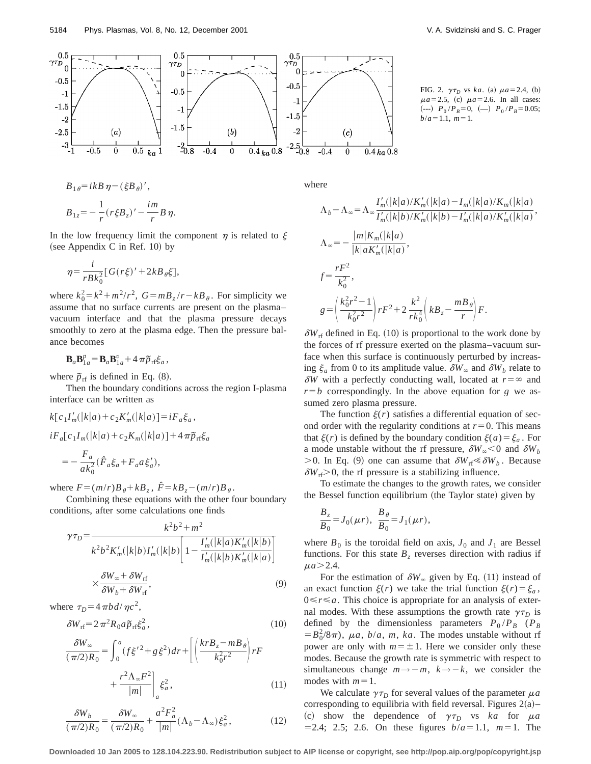

FIG. 2.  $\gamma \tau_D$  vs *ka*. (a)  $\mu a = 2.4$ , (b)  $\mu a = 2.5$ , (c)  $\mu a = 2.6$ . In all cases:  $(--)$  *P*<sub>0</sub> /*P<sub>B</sub>*=0,  $(-)$  *P*<sub>0</sub> /*P<sub>B</sub>*=0.05;  $b/a=1.1$ ,  $m=1$ .

,

where

$$
\Lambda_b - \Lambda_{\infty} = \Lambda_{\infty} \frac{I'_m(|k|a)/K'_m(|k|a) - I_m(|k|a)/K_m(|k|a)}{I'_m(|k|b)/K'_m(|k|b) - I'_m(|k|a)/K'_m(|k|a)}
$$
  

$$
\Lambda_{\infty} = -\frac{|m|K_m(|k|a)}{|k|aK'_m(|k|a)},
$$
  

$$
f = \frac{rF^2}{k_0^2},
$$
  

$$
g = \left(\frac{k_0^2r^2 - 1}{k_0^2r^2}\right)rF^2 + 2\frac{k^2}{rk_0^4}\left(kB_z - \frac{mB_\theta}{r}\right)F.
$$

 $\delta W_{\text{rf}}$  defined in Eq. (10) is proportional to the work done by the forces of rf pressure exerted on the plasma–vacuum surface when this surface is continuously perturbed by increasing  $\xi_a$  from 0 to its amplitude value.  $\delta W_\infty$  and  $\delta W_b$  relate to  $\delta W$  with a perfectly conducting wall, located at  $r = \infty$  and  $r=b$  correspondingly. In the above equation for *g* we assumed zero plasma pressure.

The function  $\xi(r)$  satisfies a differential equation of second order with the regularity conditions at  $r=0$ . This means that  $\xi(r)$  is defined by the boundary condition  $\xi(a) = \xi_a$ . For a mode unstable without the rf pressure,  $\delta W_\infty < 0$  and  $\delta W_b$  $>$  0. In Eq. (9) one can assume that  $\delta W_{\text{rf}} \le \delta W_b$ . Because  $\delta W_{\text{rf}}$  $> 0$ , the rf pressure is a stabilizing influence.

To estimate the changes to the growth rates, we consider the Bessel function equilibrium (the Taylor state) given by

$$
\frac{B_z}{B_0} = J_0(\mu r), \ \frac{B_\theta}{B_0} = J_1(\mu r),
$$

where  $B_0$  is the toroidal field on axis,  $J_0$  and  $J_1$  are Bessel functions. For this state  $B<sub>z</sub>$  reverses direction with radius if  $\mu a > 2.4.$ 

For the estimation of  $\delta W_{\infty}$  given by Eq. (11) instead of an exact function  $\xi(r)$  we take the trial function  $\xi(r) = \xi_a$ ,  $0 \le r \le a$ . This choice is appropriate for an analysis of external modes. With these assumptions the growth rate  $\gamma \tau_D$  is defined by the dimensionless parameters  $P_0/P_B$  ( $P_B$  $= B_0^2/8\pi$ ,  $\mu a$ ,  $b/a$ ,  $m$ ,  $ka$ . The modes unstable without rf power are only with  $m = \pm 1$ . Here we consider only these modes. Because the growth rate is symmetric with respect to simultaneous change  $m \rightarrow -m$ ,  $k \rightarrow -k$ , we consider the modes with  $m=1$ .

We calculate  $\gamma \tau_D$  for several values of the parameter  $\mu a$ corresponding to equilibria with field reversal. Figures  $2(a)$ – (c) show the dependence of  $\gamma \tau_D$  vs *ka* for  $\mu a$  $= 2.4$ ; 2.5; 2.6. On these figures  $b/a = 1.1$ ,  $m = 1$ . The

# $B_{1\theta} = ikB\eta - (\xi B_{\theta})'$ ,  $B_{1z} = -\frac{1}{r}(r\xi B_z)' - \frac{im}{r}B\eta.$

In the low frequency limit the component  $\eta$  is related to  $\xi$ (see Appendix C in Ref. 10) by

$$
\eta = \frac{i}{rBk_0^2} \left[ G(r\xi)' + 2kB_\theta \xi \right],
$$

where  $k_0^2 = k^2 + m^2/r^2$ ,  $G = mB_z/r - kB_\theta$ . For simplicity we assume that no surface currents are present on the plasma– vacuum interface and that the plasma pressure decays smoothly to zero at the plasma edge. Then the pressure balance becomes

$$
\mathbf{B}_a \mathbf{B}_{1a}^p = \mathbf{B}_a \mathbf{B}_{1a}^v + 4 \pi \tilde{p}_{\text{rf}} \xi_a ,
$$

where  $\tilde{p}_{\text{rf}}$  is defined in Eq. (8).

Then the boundary conditions across the region I-plasma interface can be written as

$$
k[c_1I'_m(|k|a) + c_2K'_m(|k|a)] = iF_a\xi_a,
$$
  
\n
$$
iF_a[c_1I_m(|k|a) + c_2K_m(|k|a)] + 4\pi\tilde{p}_{\text{rf}}\xi_a
$$
  
\n
$$
= -\frac{F_a}{ak_0^2}(\hat{F}_a\xi_a + F_a a\xi'_a),
$$

where  $F = (m/r)B_{\theta} + kB_{z}$ ,  $\hat{F} = kB_{z} - (m/r)B_{\theta}$ .

Combining these equations with the other four boundary conditions, after some calculations one finds

$$
\gamma \tau_D = \frac{k^2 b^2 + m^2}{k^2 b^2 K'_m(|k|b) I'_m(|k|b) \left[1 - \frac{I'_m(|k|a) K'_m(|k|b)}{I'_m(|k|b) K'_m(|k|a)}\right]}
$$

$$
\times \frac{\delta W_\infty + \delta W_{\rm rf}}{\delta W_b + \delta W_{\rm rf}}, \tag{9}
$$

where  $\tau_D = 4 \pi b d / \eta c^2$ ,

$$
\delta W_{\rm rf} = 2\pi^2 R_0 a \tilde{p}_{\rm rf} \xi_a^2, \qquad (10)
$$

$$
\frac{\delta W_{\infty}}{(\pi/2)R_0} = \int_0^a (f\xi'^2 + g\xi^2)dr + \left[ \left( \frac{krB_z - mB_\theta}{k_0^2 r^2} \right) rF + \frac{r^2 \Lambda_{\infty} F^2}{|m|} \right]_{a} \xi_a^2, \tag{11}
$$

$$
\frac{\delta W_b}{(\pi/2)R_0} = \frac{\delta W_{\infty}}{(\pi/2)R_0} + \frac{a^2 F_a^2}{|m|} (\Lambda_b - \Lambda_{\infty}) \xi_a^2, \qquad (12)
$$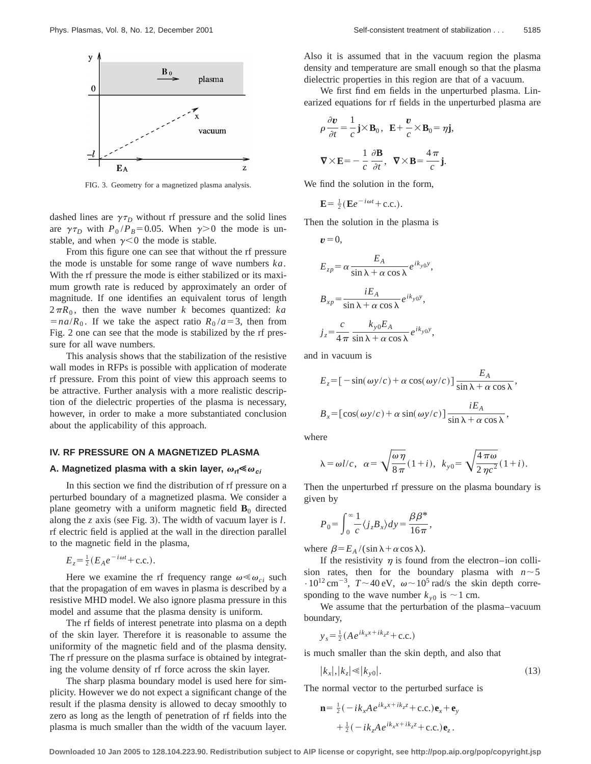

FIG. 3. Geometry for a magnetized plasma analysis.

dashed lines are  $\gamma \tau_D$  without rf pressure and the solid lines are  $\gamma \tau_D$  with  $P_0 / P_B = 0.05$ . When  $\gamma > 0$  the mode is unstable, and when  $\gamma$ <0 the mode is stable.

From this figure one can see that without the rf pressure the mode is unstable for some range of wave numbers *ka*. With the rf pressure the mode is either stabilized or its maximum growth rate is reduced by approximately an order of magnitude. If one identifies an equivalent torus of length  $2\pi R_0$ , then the wave number *k* becomes quantized: *ka*  $\frac{5}{2}$ *na*/*R*<sub>0</sub>. If we take the aspect ratio *R*<sub>0</sub>/*a*=3, then from Fig. 2 one can see that the mode is stabilized by the rf pressure for all wave numbers.

This analysis shows that the stabilization of the resistive wall modes in RFPs is possible with application of moderate rf pressure. From this point of view this approach seems to be attractive. Further analysis with a more realistic description of the dielectric properties of the plasma is necessary, however, in order to make a more substantiated conclusion about the applicability of this approach.

### **IV. RF PRESSURE ON A MAGNETIZED PLASMA**

## **A. Magnetized plasma with a skin layer,**  $\omega_{\text{rf}} \leq \omega_{\text{ci}}$

In this section we find the distribution of rf pressure on a perturbed boundary of a magnetized plasma. We consider a plane geometry with a uniform magnetic field  $\mathbf{B}_0$  directed along the  $z$  axis (see Fig. 3). The width of vacuum layer is  $l$ . rf electric field is applied at the wall in the direction parallel to the magnetic field in the plasma,

$$
E_z = \frac{1}{2} (E_A e^{-i\omega t} + \text{c.c.}).
$$

Here we examine the rf frequency range  $\omega \ll \omega_{ci}$  such that the propagation of em waves in plasma is described by a resistive MHD model. We also ignore plasma pressure in this model and assume that the plasma density is uniform.

The rf fields of interest penetrate into plasma on a depth of the skin layer. Therefore it is reasonable to assume the uniformity of the magnetic field and of the plasma density. The rf pressure on the plasma surface is obtained by integrating the volume density of rf force across the skin layer.

The sharp plasma boundary model is used here for simplicity. However we do not expect a significant change of the result if the plasma density is allowed to decay smoothly to zero as long as the length of penetration of rf fields into the plasma is much smaller than the width of the vacuum layer. Also it is assumed that in the vacuum region the plasma density and temperature are small enough so that the plasma dielectric properties in this region are that of a vacuum.

We first find em fields in the unperturbed plasma. Linearized equations for rf fields in the unperturbed plasma are

$$
\rho \frac{\partial \mathbf{v}}{\partial t} = \frac{1}{c} \mathbf{j} \times \mathbf{B}_0, \ \ \mathbf{E} + \frac{\mathbf{v}}{c} \times \mathbf{B}_0 = \eta \mathbf{j},
$$

$$
\nabla \times \mathbf{E} = -\frac{1}{c} \frac{\partial \mathbf{B}}{\partial t}, \ \ \nabla \times \mathbf{B} = \frac{4 \pi}{c} \mathbf{j}.
$$

We find the solution in the form,

$$
\mathbf{E} = \frac{1}{2} (\mathbf{E}e^{-i\omega t} + \text{c.c.}).
$$

Then the solution in the plasma is

$$
E_{zp} = \alpha \frac{E_A}{\sin \lambda + \alpha \cos \lambda} e^{ik_y \omega},
$$
  
\n
$$
B_{xp} = \frac{iE_A}{\sin \lambda + \alpha \cos \lambda} e^{ik_y \omega},
$$
  
\n
$$
j_z = \frac{c}{4\pi} \frac{k_{y0} E_A}{\sin \lambda + \alpha \cos \lambda} e^{ik_y \omega},
$$

and in vacuum is

 $v=0$ 

$$
E_z = [-\sin(\omega y/c) + \alpha \cos(\omega y/c)] \frac{E_A}{\sin \lambda + \alpha \cos \lambda},
$$
  

$$
B_x = [\cos(\omega y/c) + \alpha \sin(\omega y/c)] \frac{iE_A}{\sin \lambda + \alpha \cos \lambda},
$$

where

$$
\lambda = \omega l/c, \ \ \alpha = \sqrt{\frac{\omega \eta}{8 \pi}} (1+i), \ \ k_{y0} = \sqrt{\frac{4 \pi \omega}{2 \eta c^2}} (1+i).
$$

Then the unperturbed rf pressure on the plasma boundary is given by

$$
P_0 = \int_0^\infty \frac{1}{c} \langle j_z B_x \rangle dy = \frac{\beta \beta^*}{16\pi},
$$

where  $\beta = E_A / (\sin \lambda + \alpha \cos \lambda)$ .

If the resistivity  $\eta$  is found from the electron–ion collision rates, then for the boundary plasma with  $n \sim 5$  $\cdot 10^{12}$  cm<sup>-3</sup>,  $T \sim 40$  eV,  $\omega \sim 10^5$  rad/s the skin depth corresponding to the wave number  $k_{y0}$  is  $\sim$ 1 cm.

We assume that the perturbation of the plasma–vacuum boundary,

$$
y_s = \frac{1}{2} \left( A e^{ik_x x + ik_z z} + \text{c.c.} \right)
$$

is much smaller than the skin depth, and also that

$$
|k_x|, |k_z| \le |k_{y0}|. \tag{13}
$$

The normal vector to the perturbed surface is

$$
\mathbf{n} = \frac{1}{2}(-ik_x A e^{ik_x x + ik_z z} + \text{c.c.})\mathbf{e}_x + \mathbf{e}_y + \frac{1}{2}(-ik_z A e^{ik_x x + ik_z z} + \text{c.c.})\mathbf{e}_z.
$$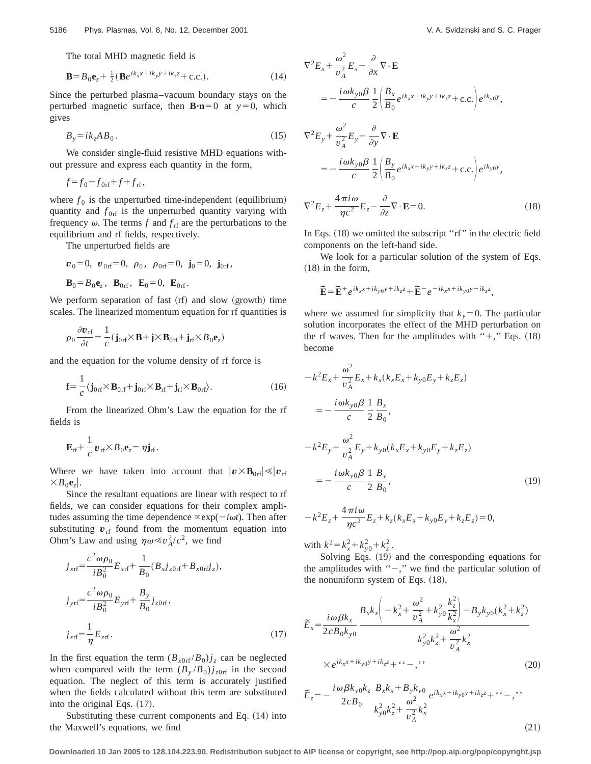The total MHD magnetic field is

$$
\mathbf{B} = B_0 \mathbf{e}_z + \frac{1}{2} (\mathbf{B} e^{ik_x x + ik_y y + ik_z z} + \text{c.c.}).
$$
 (14)

Since the perturbed plasma–vacuum boundary stays on the perturbed magnetic surface, then  $\mathbf{B} \cdot \mathbf{n} = 0$  at  $y = 0$ , which gives

$$
B_y = ik_z AB_0. \tag{15}
$$

We consider single-fluid resistive MHD equations without pressure and express each quantity in the form,

 $f = f_0 + f_{0r}f + f_{rf}$ 

where  $f_0$  is the unperturbed time-independent (equilibrium) quantity and  $f_{0rf}$  is the unperturbed quantity varying with frequency  $\omega$ . The terms  $f$  and  $f_{\text{rf}}$  are the perturbations to the equilibrium and rf fields, respectively.

The unperturbed fields are

$$
v_0=0
$$
,  $v_{0rf}=0$ ,  $\rho_0$ ,  $\rho_{0rf}=0$ ,  $\mathbf{j}_0=0$ ,  $\mathbf{j}_{0rf}$ ,  
 $\mathbf{B}_0 = B_0 \mathbf{e}_z$ ,  $\mathbf{B}_{0rf}$ ,  $\mathbf{E}_0 = 0$ ,  $\mathbf{E}_{0rf}$ .

We perform separation of fast  $(rf)$  and slow  $(growth)$  time scales. The linearized momentum equation for rf quantities is

$$
\rho_0 \frac{\partial \mathbf{v}_{\rm rf}}{\partial t} = \frac{1}{c} (\mathbf{j}_{0\rm rf} \times \mathbf{B} + \mathbf{j} \times \mathbf{B}_{0\rm rf} + \mathbf{j}_{\rm rf} \times B_0 \mathbf{e}_z)
$$

and the equation for the volume density of rf force is

$$
\mathbf{f} = \frac{1}{c} \langle \mathbf{j}_{0rf} \times \mathbf{B}_{0rf} + \mathbf{j}_{0rf} \times \mathbf{B}_{rf} + \mathbf{j}_{rf} \times \mathbf{B}_{0rf}.
$$
 (16)

From the linearized Ohm's Law the equation for the rf fields is

$$
\mathbf{E}_{\rm rf} + \frac{1}{c} \mathbf{v}_{\rm rf} \times B_0 \mathbf{e}_z = \eta \mathbf{j}_{\rm rf}.
$$

Where we have taken into account that  $|\mathbf{v} \times \mathbf{B}_{0rf}| \ll |\mathbf{v}_{rf}|$  $\times B_0 \mathbf{e}_z$ .

Since the resultant equations are linear with respect to rf fields, we can consider equations for their complex amplitudes assuming the time dependence  $\propto \exp(-i\omega t)$ . Then after substituting  $v_{rf}$  found from the momentum equation into Ohm's Law and using  $\eta \omega \ll v_A^2/c^2$ , we find

$$
j_{xrf} = \frac{c^2 \omega \rho_0}{i B_0^2} E_{xrf} + \frac{1}{B_0} (B_x j_{z0rf} + B_{x0rf} j_z),
$$
  
\n
$$
j_{yrf} = \frac{c^2 \omega \rho_0}{i B_0^2} E_{yrf} + \frac{B_y}{B_0} j_{z0rf},
$$
  
\n
$$
j_{zrf} = \frac{1}{\eta} E_{zrf}.
$$
\n(17)

In the first equation the term  $(B_{x0rf}/B_0)j_z$  can be neglected when compared with the term  $(B_y/B_0)j_{z0r}$  in the second equation. The neglect of this term is accurately justified when the fields calculated without this term are substituted into the original Eqs.  $(17)$ .

Substituting these current components and Eq.  $(14)$  into the Maxwell's equations, we find

$$
\nabla^2 E_x + \frac{\omega^2}{v_A^2} E_x - \frac{\partial}{\partial x} \nabla \cdot \mathbf{E}
$$
  
\n
$$
= -\frac{i \omega k_{y0} \beta}{c} \frac{1}{2} \left( \frac{B_x}{B_0} e^{ik_x x + ik_y y + ik_z z} + \text{c.c.} \right) e^{ik_y y},
$$
  
\n
$$
\nabla^2 E_y + \frac{\omega^2}{v_A^2} E_y - \frac{\partial}{\partial y} \nabla \cdot \mathbf{E}
$$
  
\n
$$
= -\frac{i \omega k_{y0} \beta}{c} \frac{1}{2} \left( \frac{B_y}{B_0} e^{ik_x x + ik_y y + ik_z z} + \text{c.c.} \right) e^{ik_y y},
$$
  
\n
$$
\nabla^2 E_z + \frac{4 \pi i \omega}{\eta c^2} E_z - \frac{\partial}{\partial z} \nabla \cdot \mathbf{E} = 0.
$$
 (18)

In Eqs.  $(18)$  we omitted the subscript "rf" in the electric field components on the left-hand side.

We look for a particular solution of the system of Eqs.  $(18)$  in the form,

$$
\widetilde{\mathbf{E}} = \widetilde{\mathbf{E}} + e^{ik_x x + ik_y y + ik_z z} + \widetilde{\mathbf{E}} - e^{-ik_x x + ik_y y - ik_z z},
$$

where we assumed for simplicity that  $k_y=0$ . The particular solution incorporates the effect of the MHD perturbation on the rf waves. Then for the amplitudes with " $+$ ," Eqs.  $(18)$ become

$$
-k^{2}E_{x} + \frac{\omega^{2}}{v_{A}^{2}}E_{x} + k_{x}(k_{x}E_{x} + k_{y0}E_{y} + k_{z}E_{z})
$$
  

$$
= -\frac{i\omega k_{y0}\beta}{c} \frac{1}{2} \frac{B_{x}}{B_{0}},
$$
  

$$
-k^{2}E_{y} + \frac{\omega^{2}}{v_{A}^{2}}E_{y} + k_{y0}(k_{x}E_{x} + k_{y0}E_{y} + k_{z}E_{z})
$$
  

$$
= -\frac{i\omega k_{y0}\beta}{c} \frac{1}{2} \frac{B_{y}}{B_{0}},
$$
 (19)

$$
-k^{2}E_{z} + \frac{4\pi i\omega}{\eta c^{2}}E_{z} + k_{z}(k_{x}E_{x} + k_{y0}E_{y} + k_{z}E_{z}) = 0,
$$

with  $k^2 = k_x^2 + k_y^2 + k_z^2$ .

Solving Eqs. (19) and the corresponding equations for the amplitudes with " $-$ ," we find the particular solution of the nonuniform system of Eqs.  $(18)$ ,

$$
\widetilde{E}_x = \frac{i\omega\beta k_x}{2cB_0k_{y0}} \frac{B_xk_x\left(-k_x^2 + \frac{\omega^2}{v_A^2} + k_{y0}^2\frac{k_z^2}{k_x^2}\right) - B_yk_{y0}(k_x^2 + k_z^2)}{k_{y0}^2k_z^2 + \frac{\omega^2}{v_A^2}k_x^2}
$$
\n
$$
\times e^{ik_xx + ik_{y0}y + ik_zz} + \dots,
$$
\n(20)

$$
\widetilde{E}_z = -\frac{i\omega\beta k_{y0}k_z}{2cB_0} \frac{B_xk_x + B_yk_{y0}}{k_{y0}^2k_z^2 + \frac{\omega^2}{v_A^2}k_x^2} e^{ik_x x + ik_{y0}y + ik_z z} + \cdots - ,
$$
\n(21)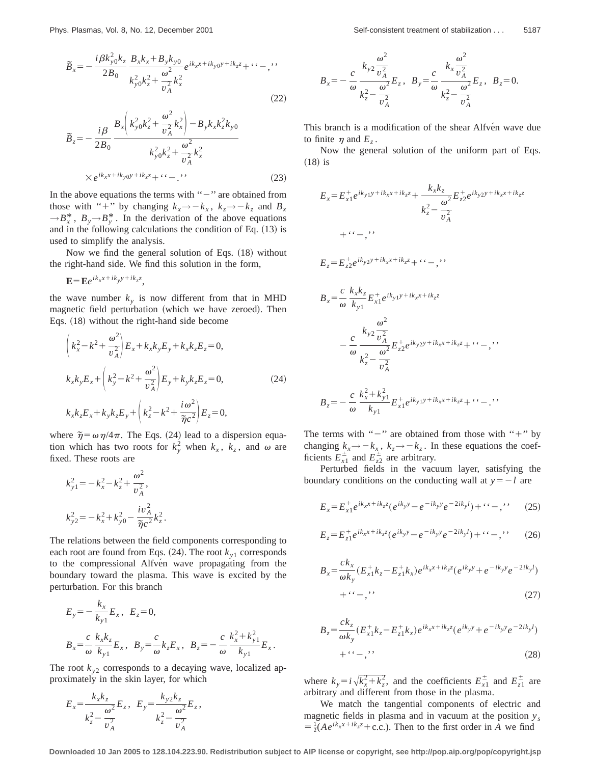$$
\widetilde{B}_x = -\frac{i\beta k_{y0}^2 k_z}{2B_0} \frac{B_x k_x + B_y k_{y0}}{k_{y0}^2 k_z^2 + \frac{\omega^2}{v_A^2} k_x^2} e^{ik_x x + ik_{y0} y + ik_z z + \epsilon} - \epsilon,
$$
\n(22)

$$
\widetilde{B}_z = -\frac{i\beta}{2B_0} \frac{B_x \left(k_{y0}^2 k_z^2 + \frac{\omega^2}{v_A^2} k_x^2\right) - B_y k_x k_z^2 k_{y0}}{k_{y0}^2 k_z^2 + \frac{\omega^2}{v_A^2} k_x^2}
$$
\n
$$
\times e^{ik_x x + ik_{y0} y + ik_z z} + \dots \tag{23}
$$

In the above equations the terms with  $"-"$  are obtained from those with "+" by changing  $k_x \rightarrow -k_x$ ,  $k_z \rightarrow -k_z$  and  $B_x$  $\rightarrow B_x^*$ ,  $B_y \rightarrow B_y^*$ . In the derivation of the above equations and in the following calculations the condition of Eq.  $(13)$  is used to simplify the analysis.

Now we find the general solution of Eqs.  $(18)$  without the right-hand side. We find this solution in the form,

$$
\mathbf{E} = \mathbf{E} e^{ik_x x + ik_y y + ik_z z},
$$

the wave number  $k_y$  is now different from that in MHD magnetic field perturbation (which we have zeroed). Then Eqs. (18) without the right-hand side become

$$
\left(k_x^2 - k^2 + \frac{\omega^2}{v_A^2}\right) E_x + k_x k_y E_y + k_x k_z E_z = 0,
$$
\n
$$
k_x k_y E_x + \left(k_y^2 - k^2 + \frac{\omega^2}{v_A^2}\right) E_y + k_y k_z E_z = 0,
$$
\n
$$
k_x k_z E_x + k_y k_z E_y + \left(k_z^2 - k^2 + \frac{i\omega^2}{\tilde{\eta}c^2}\right) E_z = 0,
$$
\n(24)

where  $\tilde{\eta} = \omega \eta/4\pi$ . The Eqs. (24) lead to a dispersion equation which has two roots for  $k_y^2$  when  $k_x$ ,  $k_z$ , and  $\omega$  are fixed. These roots are

$$
k_{y1}^{2} = -k_{x}^{2} - k_{z}^{2} + \frac{\omega^{2}}{v_{A}^{2}},
$$
  

$$
k_{y2}^{2} = -k_{x}^{2} + k_{y0}^{2} - \frac{i v_{A}^{2}}{\overline{\eta}c^{2}}k_{z}^{2}.
$$

The relations between the field components corresponding to each root are found from Eqs.  $(24)$ . The root  $k_{v1}$  corresponds to the compressional Alfvén wave propagating from the boundary toward the plasma. This wave is excited by the perturbation. For this branch

$$
E_y = -\frac{k_x}{k_{y1}} E_x, \quad E_z = 0,
$$
  
\n
$$
B_x = \frac{c}{\omega} \frac{k_x k_z}{k_{y1}} E_x, \quad B_y = \frac{c}{\omega} k_z E_x, \quad B_z = -\frac{c}{\omega} \frac{k_x^2 + k_{y1}^2}{k_{y1}} E_x.
$$

The root  $k_{y2}$  corresponds to a decaying wave, localized approximately in the skin layer, for which

$$
B_x = -\frac{c}{\omega} \frac{k_{y2} \frac{\omega^2}{v_A^2}}{k_z^2 - \frac{\omega^2}{v_A^2}} E_z, \ \ B_y = \frac{c}{\omega} \frac{k_x \frac{\omega^2}{v_A^2}}{k_z^2 - \frac{\omega^2}{v_A^2}} E_z, \ \ B_z = 0.
$$

This branch is a modification of the shear Alfven wave due to finite  $\eta$  and  $E_z$ .

Now the general solution of the uniform part of Eqs.  $(18)$  is

$$
E_x = E_{x1}^+ e^{ik_{y1}y + ik_xx + ik_zz} + \frac{k_xk_z}{k_z^2 - \frac{\omega^2}{2}} E_{z2}^+ e^{ik_{y2}y + ik_xx + ik_zz}
$$
  
+  $\cdots$ ,  

$$
E_z = E_{z2}^+ e^{ik_{y2}y + ik_xx + ik_zz} + \cdots
$$
,  

$$
B_x = \frac{c}{\omega} \frac{k_xk_z}{k_{y1}} E_{x1}^+ e^{ik_{y1}y + ik_xx + ik_zz}
$$
  

$$
- \frac{c}{\omega} \frac{k_{y2} \frac{\omega^2}{v_A^2}}{k_z^2 - \frac{\omega^2}{v_A^2}} E_{z2}^+ e^{ik_{y2}y + ik_xx + ik_zz} + \cdots
$$
,  

$$
B_z = -\frac{c}{\omega} \frac{k_x^2 + k_{y1}^2}{k_{y1}} E_{x1}^+ e^{ik_{y1}y + ik_xx + ik_zz} + \cdots
$$

The terms with " $-$ " are obtained from those with " $+$ " by changing  $k_x \rightarrow -k_x$ ,  $k_z \rightarrow -k_z$ . In these equations the coefficients  $E_{x1}^{\pm}$  and  $E_{z2}^{\pm}$  are arbitrary.

Perturbed fields in the vacuum layer, satisfying the boundary conditions on the conducting wall at  $y=-l$  are

$$
E_x = E_{x1}^+ e^{ik_x x + ik_z z} (e^{ik_y y} - e^{-ik_y y} e^{-2ik_y l}) + \cdots , \qquad (25)
$$

$$
E_z = E_{z1}^+ e^{ik_x x + ik_z z} (e^{ik_y y} - e^{-ik_y y} e^{-2ik_y l}) + \cdots , \qquad (26)
$$

$$
B_x = \frac{ck_x}{\omega k_y} (E_{x1}^+ k_z - E_{z1}^+ k_x) e^{ik_x x + ik_z z} (e^{ik_y y} + e^{-ik_y y} e^{-2ik_y l})
$$
  
 
$$
+ \cdots , \qquad (27)
$$

$$
B_{z} = \frac{ck_{z}}{\omega k_{y}} (E_{x1}^{+}k_{z} - E_{z1}^{+}k_{x})e^{ik_{x}x + ik_{z}z}(e^{ik_{y}y} + e^{-ik_{y}y}e^{-2ik_{y}t}) + \cdots, \qquad (28)
$$

where  $k_y = i\sqrt{k_x^2 + k_z^2}$ , and the coefficients  $E_{x1}^{\pm}$  and  $E_{z1}^{\pm}$  are arbitrary and different from those in the plasma.

We match the tangential components of electric and magnetic fields in plasma and in vacuum at the position *ys*  $= \frac{1}{2}(Ae^{ik_x x + ik_z z} + c.c.).$  Then to the first order in *A* we find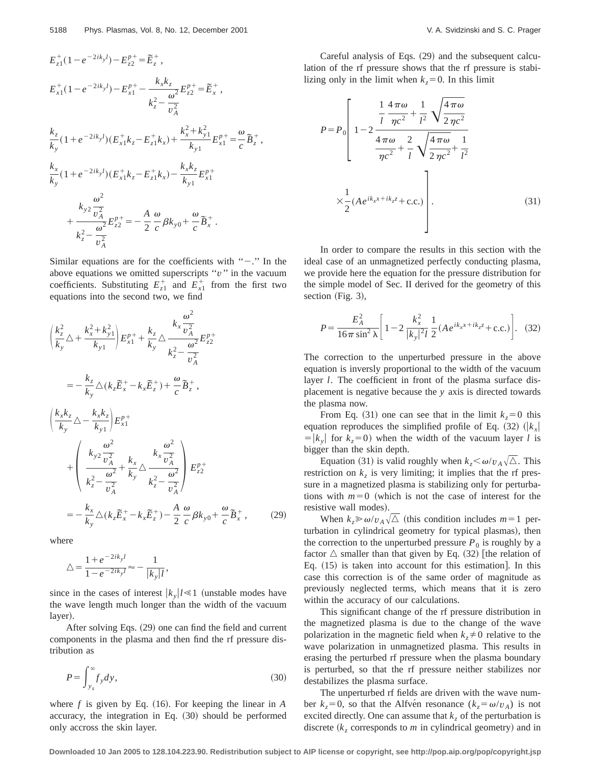$$
E_{z1}^{+}(1 - e^{-2ik_{y}l}) - E_{z2}^{p+} = \tilde{E}_{z}^{+},
$$
\n
$$
E_{x1}^{+}(1 - e^{-2ik_{y}l}) - E_{x1}^{p+} - \frac{k_{x}k_{z}}{k_{z}^{2}} E_{z2}^{p+} = \tilde{E}_{x}^{+},
$$
\n
$$
k_{z}^{2} - \frac{\omega^{2}}{v_{A}^{2}}
$$
\n
$$
\frac{k_{z}}{k_{y}}(1 + e^{-2ik_{y}l})(E_{x1}^{+}k_{z} - E_{z1}^{+}k_{x}) + \frac{k_{x}^{2} + k_{y1}^{2}}{k_{y1}} E_{x1}^{p+} = \frac{\omega}{c} \tilde{B}_{z}^{+},
$$
\n
$$
\frac{k_{x}}{k_{y}}(1 + e^{-2ik_{y}l})(E_{x1}^{+}k_{z} - E_{z1}^{+}k_{x}) - \frac{k_{x}k_{z}}{k_{y1}} E_{x1}^{p+}
$$
\n
$$
k_{y2} \frac{\omega^{2}}{v_{A}^{2}}
$$
\n
$$
+ \frac{k_{y2} \frac{\omega^{2}}{v_{A}^{2}}}{k_{z}^{2} - \frac{\omega^{2}}{v_{A}^{2}}} E_{z2}^{p+} = -\frac{A}{2} \frac{\omega}{c} \beta k_{y0} + \frac{\omega}{c} \tilde{B}_{x}^{+}.
$$

Similar equations are for the coefficients with " $-$ ." In the above equations we omitted superscripts " $v$ " in the vacuum coefficients. Substituting  $E_{z1}^+$  and  $E_{x1}^+$  from the first two equations into the second two, we find

$$
\begin{split}\n&\left(\frac{k_{z}^{2}}{k_{y}}\Delta+\frac{k_{x}^{2}+k_{y1}^{2}}{k_{y1}}\right)E_{x1}^{p+}+\frac{k_{z}}{k_{y}}\Delta\frac{k_{x}\frac{\omega^{2}}{v_{A}^{2}}}{k_{z}^{2}-\frac{\omega^{2}}{v_{A}^{2}}}E_{z2}^{p+} \\
&=-\frac{k_{z}}{k_{y}}\Delta(k_{z}\tilde{E}_{x}^{+}-k_{x}\tilde{E}_{z}^{+})+\frac{\omega}{c}\tilde{B}_{z}^{+}, \\
&\left(\frac{k_{x}k_{z}}{k_{y}}\Delta-\frac{k_{x}k_{z}}{k_{y1}}\right)E_{x1}^{p+} \\
&+\left(\frac{k_{y2}\frac{\omega^{2}}{v_{A}^{2}}}{k_{z}^{2}-\frac{\omega^{2}}{v_{A}^{2}}}+\frac{k_{x}}{k_{y}}\Delta\frac{k_{x}\frac{\omega^{2}}{v_{A}^{2}}}{k_{z}^{2}-\frac{\omega^{2}}{v_{A}^{2}}}\right)E_{z2}^{p+} \\
&=-\frac{k_{x}}{k_{y}}\Delta(k_{z}\tilde{E}_{x}^{+}-k_{x}\tilde{E}_{z}^{+})-\frac{A}{2}\frac{\omega}{c}\beta k_{y0}+\frac{\omega}{c}\tilde{B}_{x}^{+},\n\end{split}
$$
(29)

where

$$
\triangle = \frac{1 + e^{-2ik_yt}}{1 - e^{-2ik_yt}} \approx -\frac{1}{|k_y|l},
$$

since in the cases of interest  $|k_v| \leq 1$  (unstable modes have the wave length much longer than the width of the vacuum layer).

After solving Eqs. (29) one can find the field and current components in the plasma and then find the rf pressure distribution as

$$
P = \int_{y_s}^{\infty} f_y dy,
$$
\n(30)

where  $f$  is given by Eq. (16). For keeping the linear in  $A$ accuracy, the integration in Eq. (30) should be performed only accross the skin layer.

Careful analysis of Eqs. (29) and the subsequent calculation of the rf pressure shows that the rf pressure is stabilizing only in the limit when  $k_z = 0$ . In this limit

$$
P = P_0 \left[ 1 - 2 \frac{\frac{1}{l} \frac{4 \pi \omega}{\eta c^2} + \frac{1}{l^2} \sqrt{\frac{4 \pi \omega}{2 \eta c^2}}}{\frac{4 \pi \omega}{\eta c^2} + \frac{2}{l} \sqrt{\frac{4 \pi \omega}{2 \eta c^2} + \frac{1}{l^2}}}
$$
  

$$
\times \frac{1}{2} (A e^{ik_x x + ik_z z} + \text{c.c.}) \right].
$$
 (31)

In order to compare the results in this section with the ideal case of an unmagnetized perfectly conducting plasma, we provide here the equation for the pressure distribution for the simple model of Sec. II derived for the geometry of this section (Fig. 3),

$$
P = \frac{E_A^2}{16\pi \sin^2 \lambda} \left[ 1 - 2 \frac{k_x^2}{|k_y|^2 l} \frac{1}{2} (A e^{ik_x x + ik_z z} + \text{c.c.}) \right]. \tag{32}
$$

The correction to the unperturbed pressure in the above equation is inversive proportional to the width of the vacuum layer *l*. The coefficient in front of the plasma surface displacement is negative because the y axis is directed towards the plasma now.

From Eq. (31) one can see that in the limit  $k_z = 0$  this equation reproduces the simplified profile of Eq. (32)  $(|k_x|)$  $=$   $|k_v|$  for  $k_z$  = 0) when the width of the vacuum layer l is bigger than the skin depth.

Equation (31) is valid roughly when  $k_z < \omega/v_A \sqrt{\Delta}$ . This restriction on  $k_z$  is very limiting; it implies that the rf pressure in a magnetized plasma is stabilizing only for perturbations with  $m=0$  (which is not the case of interest for the resistive wall modes).

When  $k_z \gg \omega/v_A \sqrt{\Delta}$  (this condition includes  $m=1$  perturbation in cylindrical geometry for typical plasmas), then the correction to the unperturbed pressure  $P_0$  is roughly by a factor  $\triangle$  smaller than that given by Eq. (32) [the relation of Eq.  $(15)$  is taken into account for this estimation]. In this case this correction is of the same order of magnitude as previously neglected terms, which means that it is zero within the accuracy of our calculations.

This significant change of the rf pressure distribution in the magnetized plasma is due to the change of the wave polarization in the magnetic field when  $k_z \neq 0$  relative to the wave polarization in unmagnetized plasma. This results in erasing the perturbed rf pressure when the plasma boundary is perturbed, so that the rf pressure neither stabilizes nor destabilizes the plasma surface.

The unperturbed rf fields are driven with the wave number  $k_z = 0$ , so that the Alfvén resonance  $(k_z = \omega/v_A)$  is not excited directly. One can assume that  $k_z$  of the perturbation is discrete  $(k_z$  corresponds to m in cylindrical geometry) and in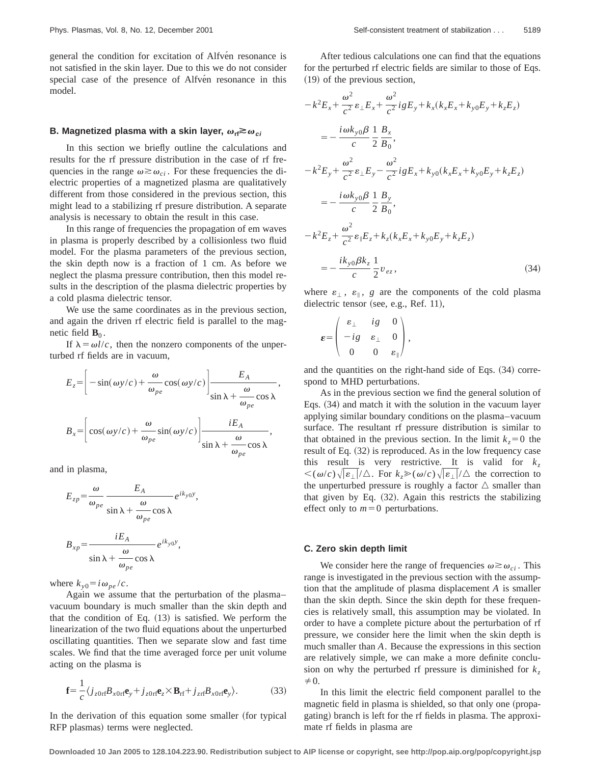general the condition for excitation of Alfven resonance is not satisfied in the skin layer. Due to this we do not consider special case of the presence of Alfvén resonance in this model.

#### **B.** Magnetized plasma with a skin layer,  $\omega_{\text{rf}} \geq \omega_{ci}$

In this section we briefly outline the calculations and results for the rf pressure distribution in the case of rf frequencies in the range  $\omega \gtrsim \omega_{ci}$ . For these frequencies the dielectric properties of a magnetized plasma are qualitatively different from those considered in the previous section, this might lead to a stabilizing rf presure distribution. A separate analysis is necessary to obtain the result in this case.

In this range of frequencies the propagation of em waves in plasma is properly described by a collisionless two fluid model. For the plasma parameters of the previous section, the skin depth now is a fraction of 1 cm. As before we neglect the plasma pressure contribution, then this model results in the description of the plasma dielectric properties by a cold plasma dielectric tensor.

We use the same coordinates as in the previous section, and again the driven rf electric field is parallel to the magnetic field  $\mathbf{B}_0$ .

If  $\lambda = \omega l/c$ , then the nonzero components of the unperturbed rf fields are in vacuum,

$$
E_z = \left[ -\sin(\omega y/c) + \frac{\omega}{\omega_{pe}} \cos(\omega y/c) \right] \frac{E_A}{\sin \lambda + \frac{\omega}{\omega_{pe}} \cos \lambda},
$$
  

$$
B_x = \left[ \cos(\omega y/c) + \frac{\omega}{\omega_{pe}} \sin(\omega y/c) \right] \frac{iE_A}{\sin \lambda + \frac{\omega}{\omega_{pe}} \cos \lambda},
$$

and in plasma,

$$
E_{zp} = \frac{\omega}{\omega_{pe}} \frac{E_A}{\sin \lambda + \frac{\omega}{\omega_{pe}} \cos \lambda} e^{ik_{y0}y},
$$

$$
B_{xp} = \frac{iE_A}{\sin \lambda + \frac{\omega}{\omega_{pe}} \cos \lambda} e^{ik_{y0}y},
$$

where  $k_{\nu 0} = i \omega_{pe} / c$ .

Again we assume that the perturbation of the plasma– vacuum boundary is much smaller than the skin depth and that the condition of Eq.  $(13)$  is satisfied. We perform the linearization of the two fluid equations about the unperturbed oscillating quantities. Then we separate slow and fast time scales. We find that the time averaged force per unit volume acting on the plasma is

$$
\mathbf{f} = \frac{1}{c} \langle j_{z0\text{rf}} B_{x0\text{rf}} \mathbf{e}_y + j_{z0\text{rf}} \mathbf{e}_z \times \mathbf{B}_{\text{rf}} + j_{z\text{rf}} B_{x0\text{rf}} \mathbf{e}_y \rangle.
$$
 (33)

In the derivation of this equation some smaller (for typical RFP plasmas) terms were neglected.

After tedious calculations one can find that the equations for the perturbed rf electric fields are similar to those of Eqs.  $(19)$  of the previous section,

$$
-k^{2}E_{x} + \frac{\omega^{2}}{c^{2}}\varepsilon_{\perp}E_{x} + \frac{\omega^{2}}{c^{2}}igE_{y} + k_{x}(k_{x}E_{x} + k_{y0}E_{y} + k_{z}E_{z})
$$
  
\n
$$
= -\frac{i\omega k_{y0}\beta}{c}\frac{1}{2}\frac{B_{x}}{B_{0}},
$$
  
\n
$$
-k^{2}E_{y} + \frac{\omega^{2}}{c^{2}}\varepsilon_{\perp}E_{y} - \frac{\omega^{2}}{c^{2}}igE_{x} + k_{y0}(k_{x}E_{x} + k_{y0}E_{y} + k_{z}E_{z})
$$
  
\n
$$
= -\frac{i\omega k_{y0}\beta}{c}\frac{1}{2}\frac{B_{y}}{B_{0}},
$$
  
\n
$$
-k^{2}E_{z} + \frac{\omega^{2}}{c^{2}}\varepsilon_{\parallel}E_{z} + k_{z}(k_{x}E_{x} + k_{y0}E_{y} + k_{z}E_{z})
$$
  
\n
$$
= -\frac{ik_{y0}\beta k_{z}}{c}\frac{1}{2}v_{ez},
$$
  
\n(34)

where  $\varepsilon_{\perp}$ ,  $\varepsilon_{\parallel}$ , g are the components of the cold plasma dielectric tensor (see, e.g., Ref. 11),

$$
\varepsilon = \begin{pmatrix} \varepsilon_{\perp} & ig & 0 \\ -ig & \varepsilon_{\perp} & 0 \\ 0 & 0 & \varepsilon_{\parallel} \end{pmatrix},
$$

and the quantities on the right-hand side of Eqs.  $(34)$  correspond to MHD perturbations.

As in the previous section we find the general solution of Eqs.  $(34)$  and match it with the solution in the vacuum layer applying similar boundary conditions on the plasma–vacuum surface. The resultant rf pressure distribution is similar to that obtained in the previous section. In the limit  $k_z=0$  the result of Eq.  $(32)$  is reproduced. As in the low frequency case this result is very restrictive. It is valid for  $k_z$  $\langle(\omega/c)\sqrt{|\varepsilon|}/\Delta$ . For  $k_z\gg(\omega/c)\sqrt{|\varepsilon|}/\Delta$  the correction to the unperturbed pressure is roughly a factor  $\triangle$  smaller than that given by Eq.  $(32)$ . Again this restricts the stabilizing effect only to  $m=0$  perturbations.

#### **C. Zero skin depth limit**

We consider here the range of frequencies  $\omega \gtrsim \omega_{ci}$ . This range is investigated in the previous section with the assumption that the amplitude of plasma displacement *A* is smaller than the skin depth. Since the skin depth for these frequencies is relatively small, this assumption may be violated. In order to have a complete picture about the perturbation of rf pressure, we consider here the limit when the skin depth is much smaller than *A*. Because the expressions in this section are relatively simple, we can make a more definite conclusion on why the perturbed rf pressure is diminished for  $k_z$  $\neq$  0.

In this limit the electric field component parallel to the magnetic field in plasma is shielded, so that only one (propagating) branch is left for the rf fields in plasma. The approximate rf fields in plasma are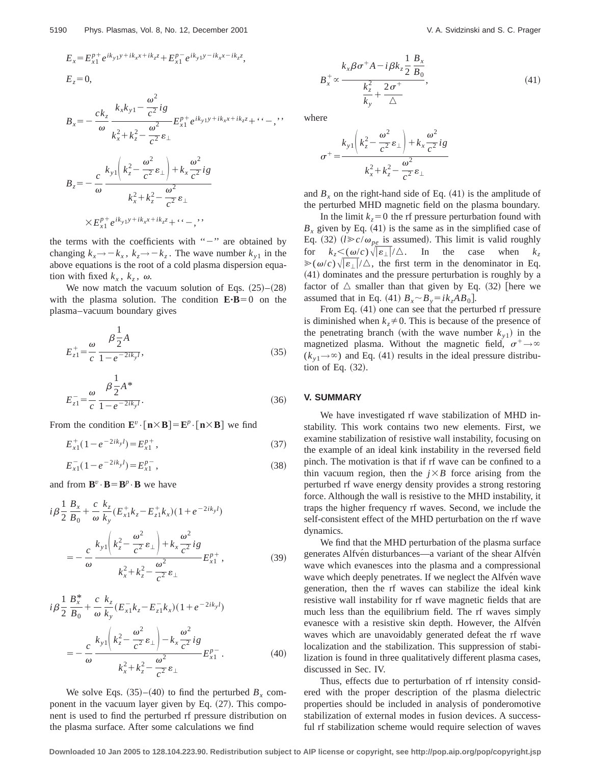$$
E_x = E_{x1}^{p+} e^{ik_{y1}y + ik_x x + ik_z z} + E_{x1}^{p-} e^{ik_{y1}y - ik_x x - ik_z z},
$$
  

$$
E_z = 0,
$$
  

$$
\omega^2
$$

$$
B_{x} = -\frac{ck_{z}}{\omega} \frac{k_{x}k_{y1} - \frac{1}{c^{2}}ig}{k_{x}^{2} + k_{z}^{2} - \frac{\omega^{2}}{c^{2}}\epsilon_{\perp}}
$$
  
\n
$$
B_{z} = -\frac{c}{\omega} \frac{k_{y1}(k_{z}^{2} - \frac{\omega^{2}}{c^{2}}\epsilon_{\perp}) + k_{x}\frac{\omega^{2}}{c^{2}}ig}{k_{x}^{2} + k_{z}^{2} - \frac{\omega^{2}}{c^{2}}\epsilon_{\perp}}
$$
  
\n
$$
\times E_{x1}^{p+}e^{ik_{y1}y + ik_{x}x + ik_{z}z + \cdots -},
$$

the terms with the coefficients with " $-$ " are obtained by changing  $k_x \rightarrow -k_x$ ,  $k_z \rightarrow -k_z$ . The wave number  $k_{v1}$  in the above equations is the root of a cold plasma dispersion equation with fixed  $k_x$ ,  $k_z$ ,  $\omega$ .

We now match the vacuum solution of Eqs.  $(25)$ – $(28)$ with the plasma solution. The condition  $\mathbf{E} \cdot \mathbf{B} = 0$  on the plasma-vacuum boundary gives

$$
E_{z1}^{+} = \frac{\omega}{c} \frac{\beta \frac{1}{2}A}{1 - e^{-2ik_{y}l}},
$$
\n(35)

$$
E_{z1}^{-} = \frac{\omega}{c} \frac{\beta \frac{1}{2} A^{*}}{1 - e^{-2ik_{y}l}}.
$$
 (36)

From the condition  $\mathbf{E}^v \cdot [\mathbf{n} \times \mathbf{B}] = \mathbf{E}^p \cdot [\mathbf{n} \times \mathbf{B}]$  we find

$$
E_{x1}^{+}(1 - e^{-2ik_y l}) = E_{x1}^{p+},
$$
\n(37)

$$
E_{x1}^{-}(1 - e^{-2ik_y t}) = E_{x1}^{p-}, \qquad (38)
$$

and from  $\mathbf{B}^v \cdot \mathbf{B} = \mathbf{B}^p \cdot \mathbf{B}$  we have

$$
i\beta \frac{1}{2} \frac{B_x}{B_0} + \frac{c}{\omega} \frac{k_z}{k_y} (E_{x1}^+ k_z - E_{z1}^+ k_x) (1 + e^{-2ik_y l})
$$
  
= 
$$
- \frac{c}{\omega} \frac{k_{y1} \left(k_z^2 - \frac{\omega^2}{c^2} \varepsilon_{\perp}\right) + k_x \frac{\omega^2}{c^2} i g}{k_x^2 + k_z^2 - \frac{\omega^2}{c^2} \varepsilon_{\perp}}
$$
(39)

$$
i\beta \frac{1}{2} \frac{B_x^*}{B_0} + \frac{c}{\omega} \frac{k_z}{k_y} (E_{x1}^- k_z - E_{z1}^- k_x) (1 + e^{-2ik_y l})
$$
  
= 
$$
- \frac{c}{\omega} \frac{k_{y1} \left(k_z^2 - \frac{\omega^2}{c^2} \varepsilon_{\perp}\right) - k_x \frac{\omega^2}{c^2} i g}{k_x^2 + k_z^2 - \frac{\omega^2}{c^2} \varepsilon_{\perp}}
$$
(40)

We solve Eqs. (35)–(40) to find the perturbed  $B_x$  component in the vacuum layer given by Eq.  $(27)$ . This component is used to find the perturbed rf pressure distribution on the plasma surface. After some calculations we find

$$
B_x^+ \propto \frac{k_x \beta \sigma^+ A - i \beta k_z \frac{1}{2} \frac{B_x}{B_0}}{k_y^2 + \frac{2 \sigma^+}{\Delta}},\tag{41}
$$

where

$$
\sigma^{+} = \frac{k_{y1}\left(k_{z}^{2} - \frac{\omega^{2}}{c^{2}}\varepsilon_{\perp}\right) + k_{x}\frac{\omega^{2}}{c^{2}}ig}{k_{x}^{2} + k_{z}^{2} - \frac{\omega^{2}}{c^{2}}\varepsilon_{\perp}}
$$

and  $B_x$  on the right-hand side of Eq. (41) is the amplitude of the perturbed MHD magnetic field on the plasma boundary.

In the limit  $k_z = 0$  the rf pressure perturbation found with  $B_x$  given by Eq. (41) is the same as in the simplified case of Eq. (32)  $(l \ge c/\omega_{pe}$  is assumed). This limit is valid roughly for  $k_z \leq (\omega/c) \sqrt{\varepsilon_\perp}/\triangle$ . In the case when  $k_z$  $\gg \left(\frac{\omega}{c}\right)\sqrt{\left|\varepsilon_{\perp}\right|}/\triangle$ , the first term in the denominator in Eq. (41) dominates and the pressure perturbation is roughly by a factor of  $\triangle$  smaller than that given by Eq. (32) [here we assumed that in Eq. (41)  $B_r \sim B_v = ik_z AB_0$ .

From Eq.  $(41)$  one can see that the perturbed rf pressure is diminished when  $k_z \neq 0$ . This is because of the presence of the penetrating branch (with the wave number  $k_{v1}$ ) in the magnetized plasma. Without the magnetic field,  $\sigma^+ \rightarrow \infty$  $(k_{v1} \rightarrow \infty)$  and Eq. (41) results in the ideal pressure distribution of Eq.  $(32)$ .

#### **V. SUMMARY**

We have investigated rf wave stabilization of MHD instability. This work contains two new elements. First, we examine stabilization of resistive wall instability, focusing on the example of an ideal kink instability in the reversed field pinch. The motivation is that if rf wave can be confined to a thin vacuum region, then the  $i \times B$  force arising from the perturbed rf wave energy density provides a strong restoring force. Although the wall is resistive to the MHD instability, it traps the higher frequency rf waves. Second, we include the self-consistent effect of the MHD perturbation on the rf wave dynamics.

We find that the MHD perturbation of the plasma surface generates Alfvén disturbances—a variant of the shear Alfvén wave which evanesces into the plasma and a compressional wave which deeply penetrates. If we neglect the Alfvén wave generation, then the rf waves can stabilize the ideal kink resistive wall instability for rf wave magnetic fields that are much less than the equilibrium field. The rf waves simply evanesce with a resistive skin depth. However, the Alfven waves which are unavoidably generated defeat the rf wave localization and the stabilization. This suppression of stabilization is found in three qualitatively different plasma cases, discussed in Sec. IV.

Thus, effects due to perturbation of rf intensity considered with the proper description of the plasma dielectric properties should be included in analysis of ponderomotive stabilization of external modes in fusion devices. A successful rf stabilization scheme would require selection of waves